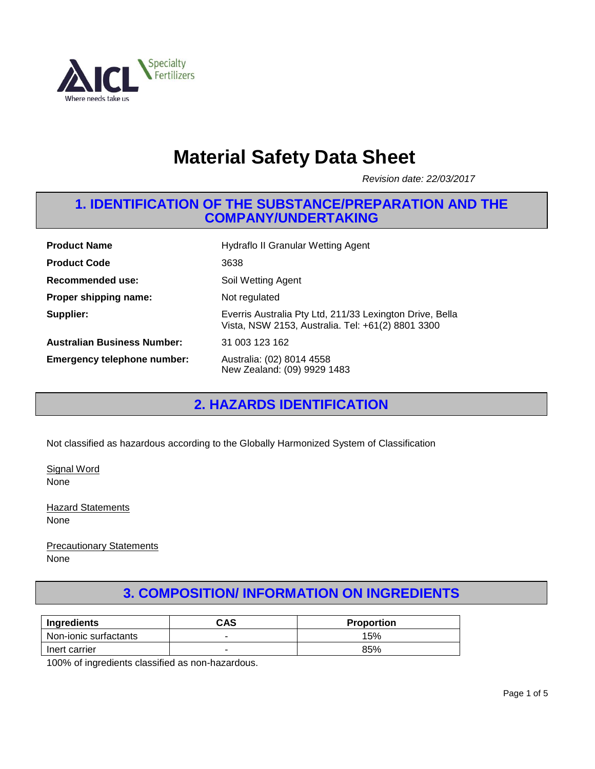

# **Material Safety Data Sheet**

*Revision date: 22/03/2017*

#### **1. IDENTIFICATION OF THE SUBSTANCE/PREPARATION AND THE COMPANY/UNDERTAKING**

| <b>Product Name</b>                | <b>Hydraflo II Granular Wetting Agent</b>                                                                     |
|------------------------------------|---------------------------------------------------------------------------------------------------------------|
| <b>Product Code</b>                | 3638                                                                                                          |
| Recommended use:                   | Soil Wetting Agent                                                                                            |
| Proper shipping name:              | Not regulated                                                                                                 |
| Supplier:                          | Everris Australia Pty Ltd, 211/33 Lexington Drive, Bella<br>Vista, NSW 2153, Australia. Tel: +61(2) 8801 3300 |
| <b>Australian Business Number:</b> | 31 003 123 162                                                                                                |
| <b>Emergency telephone number:</b> | Australia: (02) 8014 4558<br>New Zealand: (09) 9929 1483                                                      |

# **2. HAZARDS IDENTIFICATION**

Not classified as hazardous according to the Globally Harmonized System of Classification

Signal Word None

**Hazard Statements** None

Precautionary Statements None

# **3. COMPOSITION/ INFORMATION ON INGREDIENTS**

| Ingredients           | CAS | <b>Proportion</b> |
|-----------------------|-----|-------------------|
| Non-ionic surfactants | -   | 15%               |
| Inert carrier         | -   | 85%               |

100% of ingredients classified as non-hazardous.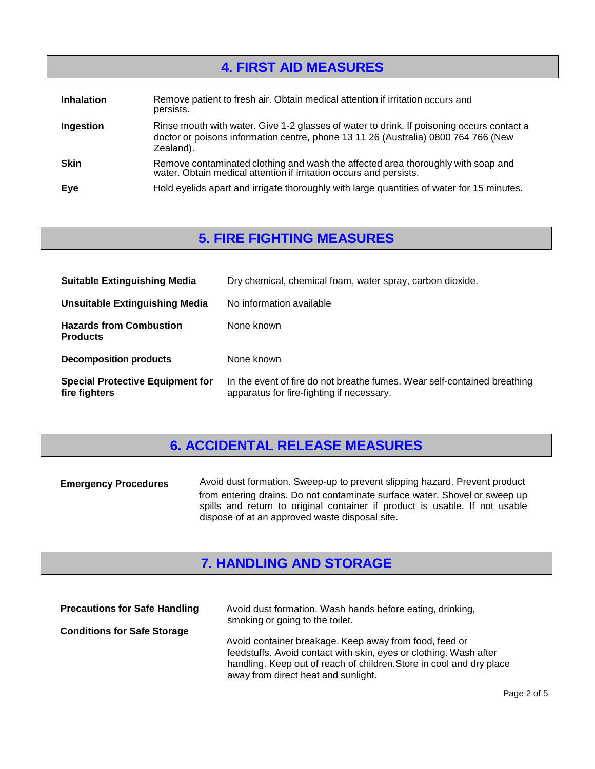# 100% of ingredients are determined to be not hazardous. **4. FIRST AID MEASURES**

| <b>Inhalation</b> | Remove patient to fresh air. Obtain medical attention if irritation occurs and<br>persists.                                                                                                  |
|-------------------|----------------------------------------------------------------------------------------------------------------------------------------------------------------------------------------------|
| Ingestion         | Rinse mouth with water. Give 1-2 glasses of water to drink. If poisoning occurs contact a<br>doctor or poisons information centre, phone 13 11 26 (Australia) 0800 764 766 (New<br>Zealand). |
| <b>Skin</b>       | Remove contaminated clothing and wash the affected area thoroughly with soap and<br>water. Obtain medical attention if irritation occurs and persists.                                       |
| Eye               | Hold eyelids apart and irrigate thoroughly with large quantities of water for 15 minutes.                                                                                                    |

#### **5. FIRE FIGHTING MEASURES**

| <b>Suitable Extinguishing Media</b>                      | Dry chemical, chemical foam, water spray, carbon dioxide.                                                             |
|----------------------------------------------------------|-----------------------------------------------------------------------------------------------------------------------|
| Unsuitable Extinguishing Media                           | No information available                                                                                              |
| <b>Hazards from Combustion</b><br><b>Products</b>        | None known                                                                                                            |
| <b>Decomposition products</b>                            | None known                                                                                                            |
| <b>Special Protective Equipment for</b><br>fire fighters | In the event of fire do not breathe fumes. Wear self-contained breathing<br>apparatus for fire-fighting if necessary. |

## **6. ACCIDENTAL RELEASE MEASURES**

| <b>Emergency Procedures</b> | Avoid dust formation. Sweep-up to prevent slipping hazard. Prevent product                                                                                                                                  |  |
|-----------------------------|-------------------------------------------------------------------------------------------------------------------------------------------------------------------------------------------------------------|--|
|                             | from entering drains. Do not contaminate surface water. Shovel or sweep up<br>spills and return to original container if product is usable. If not usable<br>dispose of at an approved waste disposal site. |  |

# **7. HANDLING AND STORAGE**

| <b>Precautions for Safe Handling</b> | Avoid dust formation. Wash hands before eating, drinking,                                                                                                                                                                                  |
|--------------------------------------|--------------------------------------------------------------------------------------------------------------------------------------------------------------------------------------------------------------------------------------------|
| <b>Conditions for Safe Storage</b>   | smoking or going to the toilet.                                                                                                                                                                                                            |
|                                      | Avoid container breakage. Keep away from food, feed or<br>feedstuffs. Avoid contact with skin, eyes or clothing. Wash after<br>handling. Keep out of reach of children. Store in cool and dry place<br>away from direct heat and sunlight. |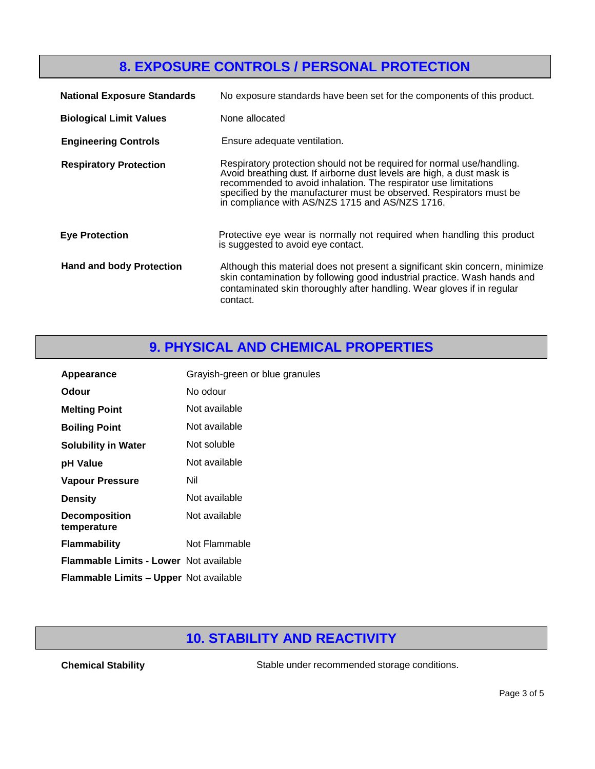# **8. EXPOSURE CONTROLS / PERSONAL PROTECTION**

| <b>National Exposure Standards</b> | No exposure standards have been set for the components of this product.                                                                                                                                                                                                                                                                       |
|------------------------------------|-----------------------------------------------------------------------------------------------------------------------------------------------------------------------------------------------------------------------------------------------------------------------------------------------------------------------------------------------|
| <b>Biological Limit Values</b>     | None allocated                                                                                                                                                                                                                                                                                                                                |
| <b>Engineering Controls</b>        | Ensure adequate ventilation.                                                                                                                                                                                                                                                                                                                  |
| <b>Respiratory Protection</b>      | Respiratory protection should not be required for normal use/handling.<br>Avoid breathing dust. If airborne dust levels are high, a dust mask is<br>recommended to avoid inhalation. The respirator use limitations<br>specified by the manufacturer must be observed. Respirators must be<br>in compliance with AS/NZS 1715 and AS/NZS 1716. |
| <b>Eye Protection</b>              | Protective eye wear is normally not required when handling this product<br>is suggested to avoid eye contact.                                                                                                                                                                                                                                 |
| <b>Hand and body Protection</b>    | Although this material does not present a significant skin concern, minimize<br>skin contamination by following good industrial practice. Wash hands and<br>contaminated skin thoroughly after handling. Wear gloves if in regular<br>contact.                                                                                                |

#### **9. PHYSICAL AND CHEMICAL PROPERTIES**

| Appearance                                    | Grayish-green or blue granules |
|-----------------------------------------------|--------------------------------|
| Odour                                         | No odour                       |
| <b>Melting Point</b>                          | Not available                  |
| <b>Boiling Point</b>                          | Not available                  |
| <b>Solubility in Water</b>                    | Not soluble                    |
| pH Value                                      | Not available                  |
| <b>Vapour Pressure</b>                        | Nil                            |
| <b>Density</b>                                | Not available                  |
| <b>Decomposition</b><br>temperature           | Not available                  |
| <b>Flammability</b>                           | Not Flammable                  |
| <b>Flammable Limits - Lower Not available</b> |                                |
| Flammable Limits - Upper Not available        |                                |

## **10. STABILITY AND REACTIVITY**

**Chemical Stability** Stable under recommended storage conditions.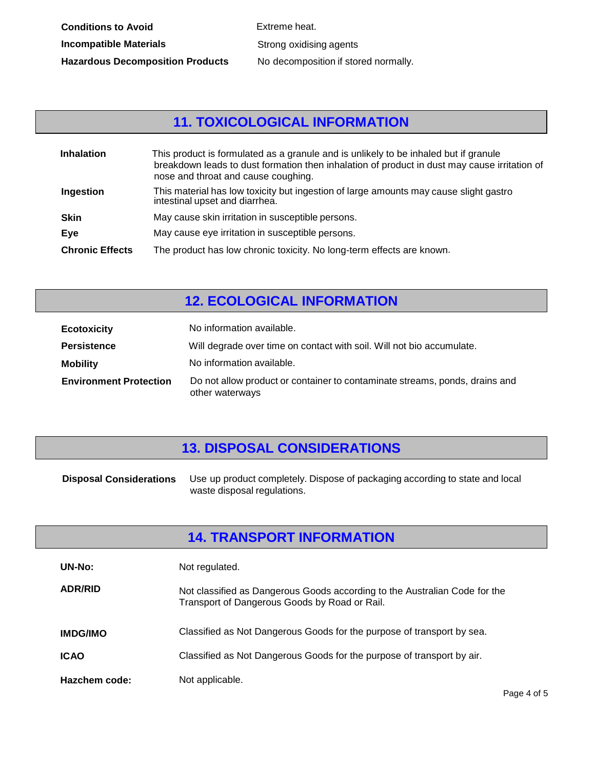Strong oxidising agents No decomposition if stored normally.

# **11. TOXICOLOGICAL INFORMATION**

| <b>Inhalation</b>      | This product is formulated as a granule and is unlikely to be inhaled but if granule<br>breakdown leads to dust formation then inhalation of product in dust may cause irritation of<br>nose and throat and cause coughing. |
|------------------------|-----------------------------------------------------------------------------------------------------------------------------------------------------------------------------------------------------------------------------|
| Ingestion              | This material has low toxicity but ingestion of large amounts may cause slight gastro<br>intestinal upset and diarrhea.                                                                                                     |
| <b>Skin</b>            | May cause skin irritation in susceptible persons.                                                                                                                                                                           |
| Eve                    | May cause eye irritation in susceptible persons.                                                                                                                                                                            |
| <b>Chronic Effects</b> | The product has low chronic toxicity. No long-term effects are known.                                                                                                                                                       |

#### **12. ECOLOGICAL INFORMATION**

| <b>Ecotoxicity</b>            | No information available.                                                                      |
|-------------------------------|------------------------------------------------------------------------------------------------|
| <b>Persistence</b>            | Will degrade over time on contact with soil. Will not bio accumulate.                          |
| <b>Mobility</b>               | No information available.                                                                      |
| <b>Environment Protection</b> | Do not allow product or container to contaminate streams, ponds, drains and<br>other waterways |

#### **13. DISPOSAL CONSIDERATIONS**

| <b>Disposal Considerations</b> | Use up product completely. Dispose of packaging according to state and local |
|--------------------------------|------------------------------------------------------------------------------|
|                                | waste disposal regulations.                                                  |

#### **14. TRANSPORT INFORMATION**

| UN-No:          | Not regulated.                                                                                                              |
|-----------------|-----------------------------------------------------------------------------------------------------------------------------|
| <b>ADR/RID</b>  | Not classified as Dangerous Goods according to the Australian Code for the<br>Transport of Dangerous Goods by Road or Rail. |
| <b>IMDG/IMO</b> | Classified as Not Dangerous Goods for the purpose of transport by sea.                                                      |
| <b>ICAO</b>     | Classified as Not Dangerous Goods for the purpose of transport by air.                                                      |
| Hazchem code:   | Not applicable.                                                                                                             |